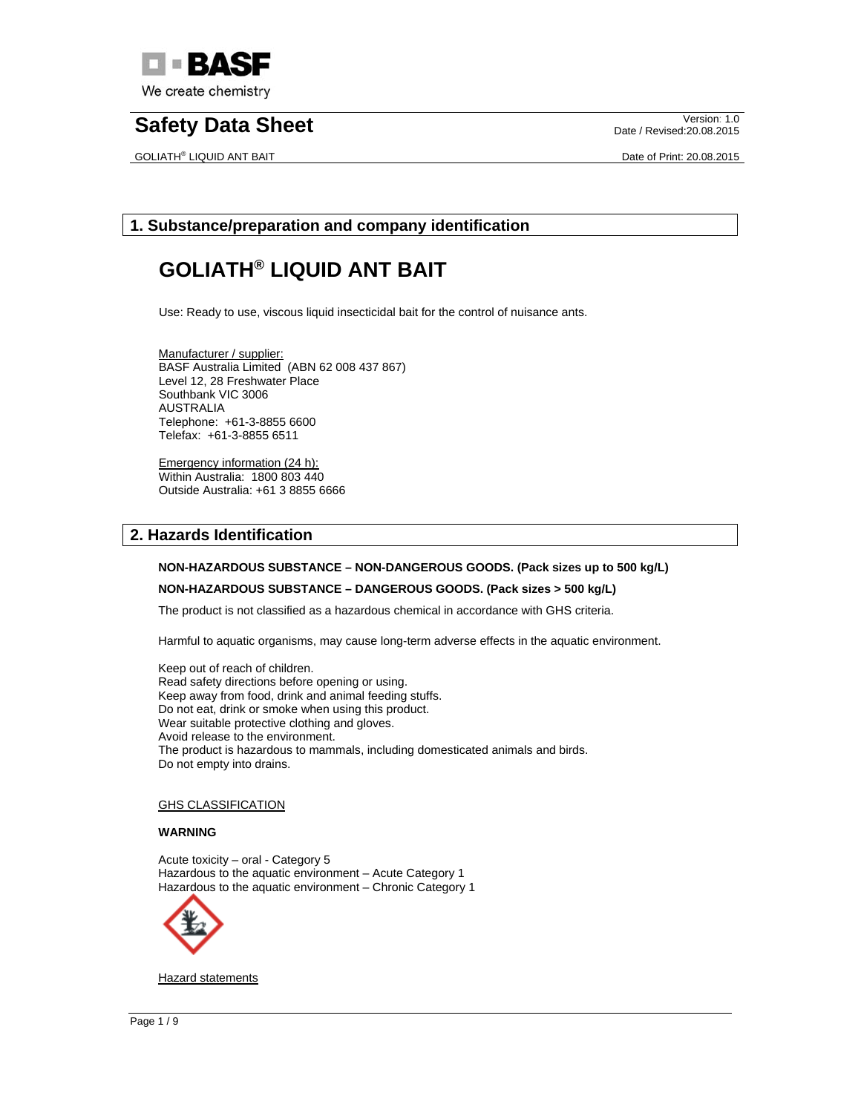

GOLIATH® LIQUID ANT BAIT **Date of Print: 20.08.2015** 

Date / Revised:20.08.2015

## **1. Substance/preparation and company identification**

# **GOLIATH® LIQUID ANT BAIT**

Use: Ready to use, viscous liquid insecticidal bait for the control of nuisance ants.

Manufacturer / supplier: BASF Australia Limited (ABN 62 008 437 867) Level 12, 28 Freshwater Place Southbank VIC 3006 AUSTRALIA Telephone: +61-3-8855 6600 Telefax: +61-3-8855 6511

Emergency information (24 h): Within Australia: 1800 803 440 Outside Australia: +61 3 8855 6666

## **2. Hazards Identification**

#### **NON-HAZARDOUS SUBSTANCE – NON-DANGEROUS GOODS. (Pack sizes up to 500 kg/L)**

#### **NON-HAZARDOUS SUBSTANCE – DANGEROUS GOODS. (Pack sizes > 500 kg/L)**

The product is not classified as a hazardous chemical in accordance with GHS criteria.

Harmful to aquatic organisms, may cause long-term adverse effects in the aquatic environment.

Keep out of reach of children. Read safety directions before opening or using. Keep away from food, drink and animal feeding stuffs. Do not eat, drink or smoke when using this product. Wear suitable protective clothing and gloves. Avoid release to the environment. The product is hazardous to mammals, including domesticated animals and birds. Do not empty into drains.

#### GHS CLASSIFICATION

#### **WARNING**

Acute toxicity – oral - Category 5 Hazardous to the aquatic environment – Acute Category 1 Hazardous to the aquatic environment – Chronic Category 1



**Hazard statements**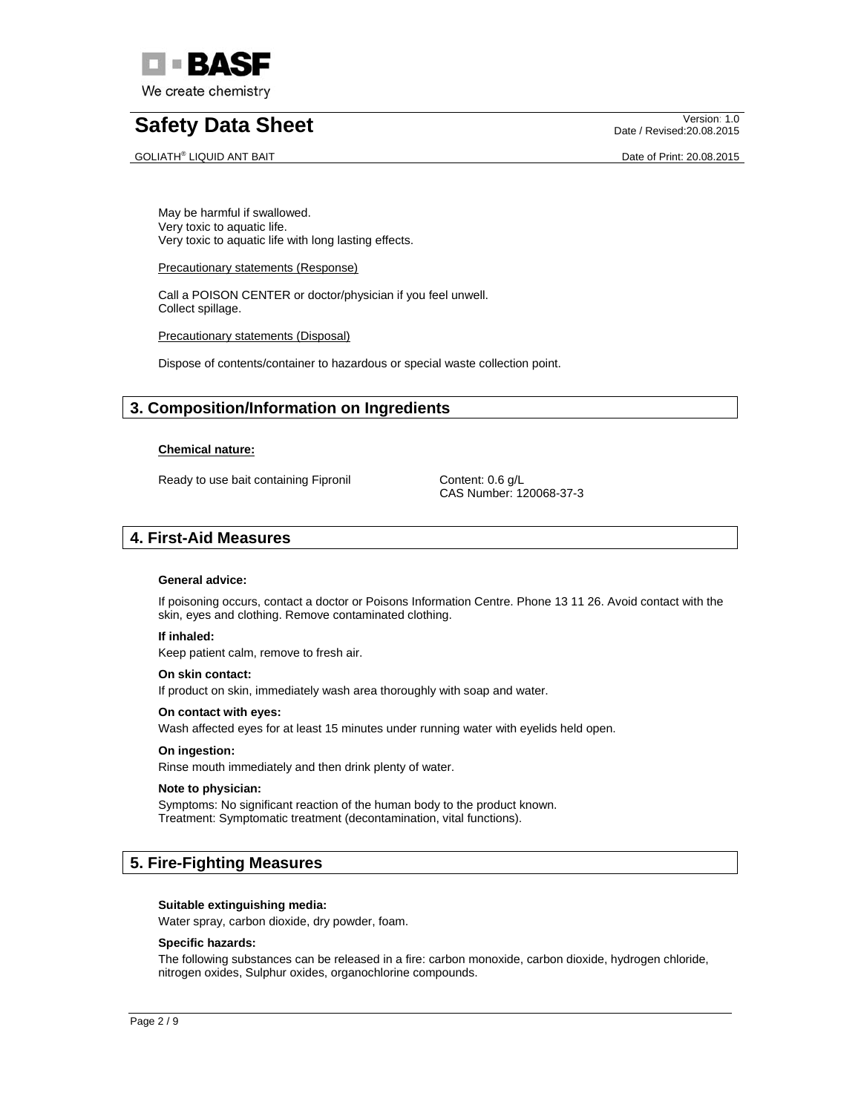

GOLIATH® LIQUID ANT BAIT **Date of Print: 20.08.2015** 

Date / Revised:20.08.2015

May be harmful if swallowed. Very toxic to aquatic life. Very toxic to aquatic life with long lasting effects.

#### Precautionary statements (Response)

Call a POISON CENTER or doctor/physician if you feel unwell. Collect spillage.

Precautionary statements (Disposal)

Dispose of contents/container to hazardous or special waste collection point.

# **3. Composition/Information on Ingredients**

### **Chemical nature:**

Ready to use bait containing Fipronil Content: 0.6 g/L

CAS Number: 120068-37-3

## **4. First-Aid Measures**

#### **General advice:**

If poisoning occurs, contact a doctor or Poisons Information Centre. Phone 13 11 26. Avoid contact with the skin, eyes and clothing. Remove contaminated clothing.

#### **If inhaled:**

Keep patient calm, remove to fresh air.

#### **On skin contact:**

If product on skin, immediately wash area thoroughly with soap and water.

#### **On contact with eyes:**

Wash affected eyes for at least 15 minutes under running water with eyelids held open.

#### **On ingestion:**

Rinse mouth immediately and then drink plenty of water.

#### **Note to physician:**

Symptoms: No significant reaction of the human body to the product known. Treatment: Symptomatic treatment (decontamination, vital functions).

# **5. Fire-Fighting Measures**

#### **Suitable extinguishing media:**

Water spray, carbon dioxide, dry powder, foam.

#### **Specific hazards:**

The following substances can be released in a fire: carbon monoxide, carbon dioxide, hydrogen chloride, nitrogen oxides, Sulphur oxides, organochlorine compounds.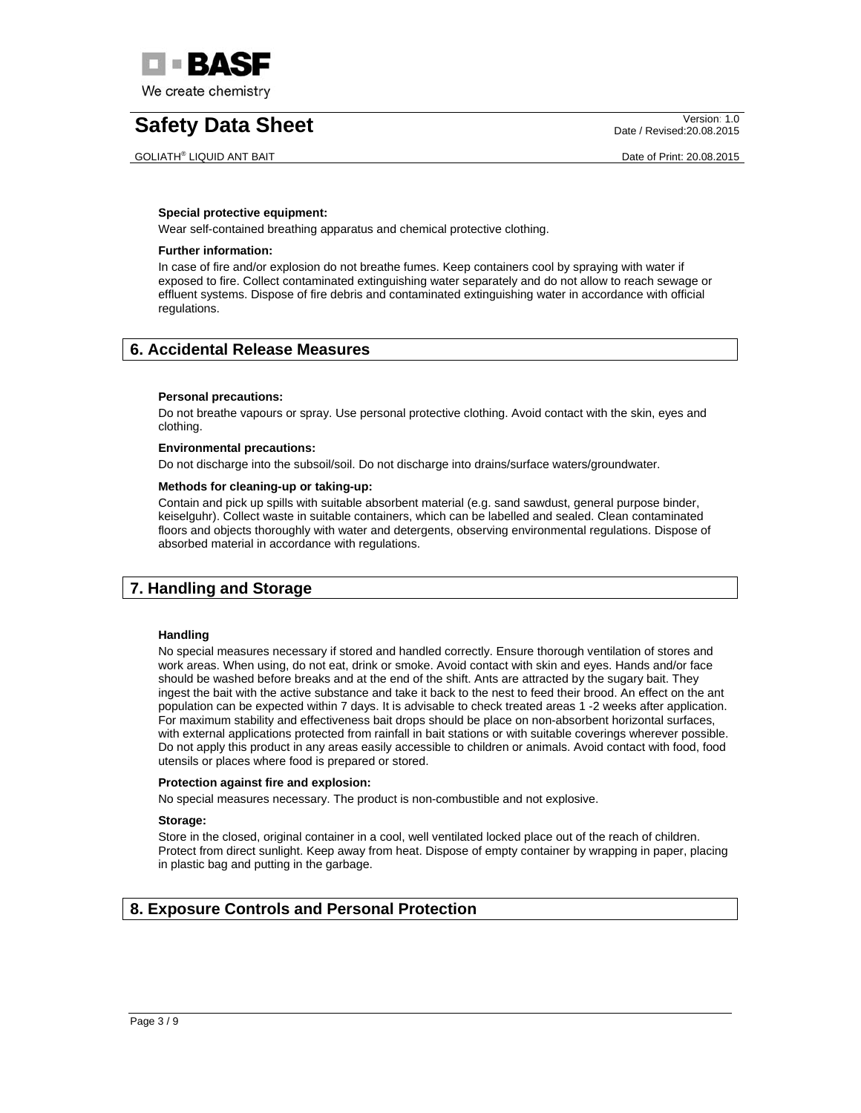

GOLIATH® LIQUID ANT BAIT **Date of Print: 20.08.2015** 

Date / Revised:20.08.2015

#### **Special protective equipment:**

Wear self-contained breathing apparatus and chemical protective clothing.

### **Further information:**

In case of fire and/or explosion do not breathe fumes. Keep containers cool by spraying with water if exposed to fire. Collect contaminated extinguishing water separately and do not allow to reach sewage or effluent systems. Dispose of fire debris and contaminated extinguishing water in accordance with official regulations.

## **6. Accidental Release Measures**

#### **Personal precautions:**

Do not breathe vapours or spray. Use personal protective clothing. Avoid contact with the skin, eyes and clothing.

#### **Environmental precautions:**

Do not discharge into the subsoil/soil. Do not discharge into drains/surface waters/groundwater.

#### **Methods for cleaning-up or taking-up:**

Contain and pick up spills with suitable absorbent material (e.g. sand sawdust, general purpose binder, keiselguhr). Collect waste in suitable containers, which can be labelled and sealed. Clean contaminated floors and objects thoroughly with water and detergents, observing environmental regulations. Dispose of absorbed material in accordance with regulations.

## **7. Handling and Storage**

#### **Handling**

No special measures necessary if stored and handled correctly. Ensure thorough ventilation of stores and work areas. When using, do not eat, drink or smoke. Avoid contact with skin and eyes. Hands and/or face should be washed before breaks and at the end of the shift. Ants are attracted by the sugary bait. They ingest the bait with the active substance and take it back to the nest to feed their brood. An effect on the ant population can be expected within 7 days. It is advisable to check treated areas 1 -2 weeks after application. For maximum stability and effectiveness bait drops should be place on non-absorbent horizontal surfaces, with external applications protected from rainfall in bait stations or with suitable coverings wherever possible. Do not apply this product in any areas easily accessible to children or animals. Avoid contact with food, food utensils or places where food is prepared or stored.

#### **Protection against fire and explosion:**

No special measures necessary. The product is non-combustible and not explosive.

### **Storage:**

Store in the closed, original container in a cool, well ventilated locked place out of the reach of children. Protect from direct sunlight. Keep away from heat. Dispose of empty container by wrapping in paper, placing in plastic bag and putting in the garbage.

## **8. Exposure Controls and Personal Protection**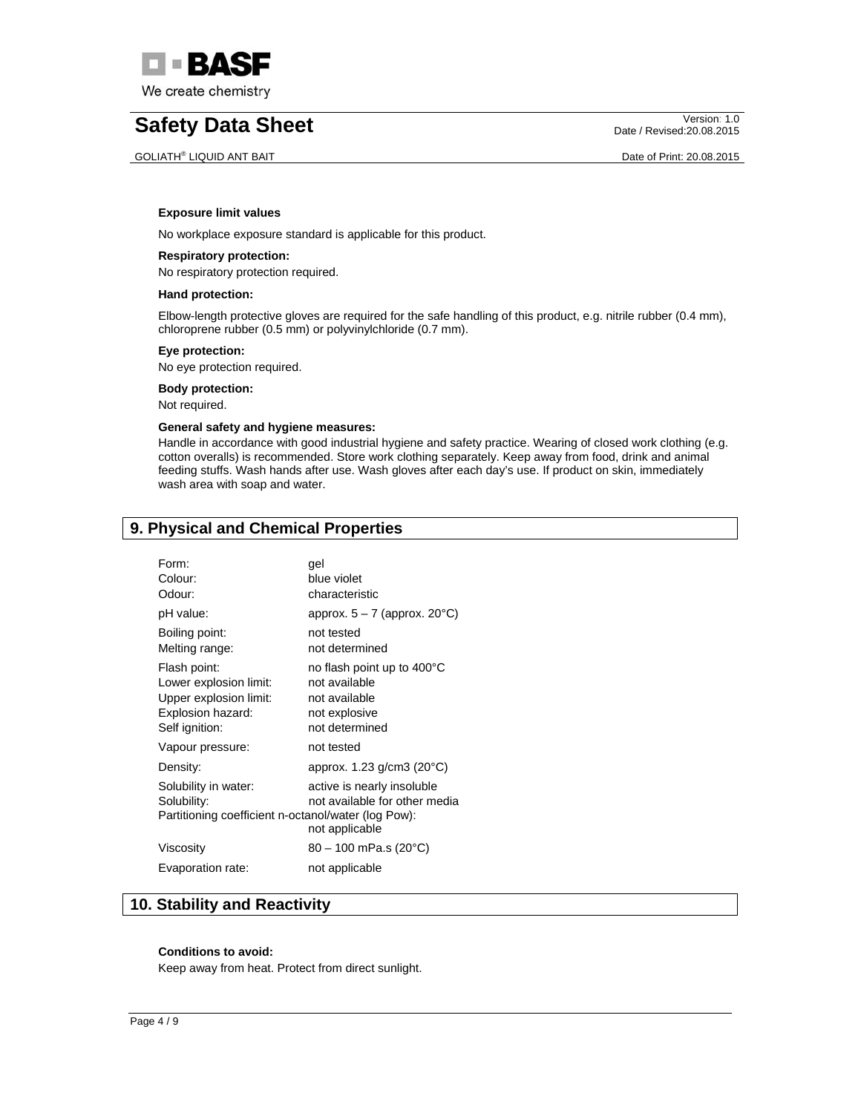

#### GOLIATH® LIQUID ANT BAIT **Date of Print: 20.08.2015**

Date / Revised:20.08.2015

#### **Exposure limit values**

No workplace exposure standard is applicable for this product.

### **Respiratory protection:**

No respiratory protection required.

### **Hand protection:**

Elbow-length protective gloves are required for the safe handling of this product, e.g. nitrile rubber (0.4 mm), chloroprene rubber (0.5 mm) or polyvinylchloride (0.7 mm).

#### **Eye protection:**

No eye protection required.

**Body protection:** 

Not required.

### **General safety and hygiene measures:**

Handle in accordance with good industrial hygiene and safety practice. Wearing of closed work clothing (e.g. cotton overalls) is recommended. Store work clothing separately. Keep away from food, drink and animal feeding stuffs. Wash hands after use. Wash gloves after each day's use. If product on skin, immediately wash area with soap and water.

# **9. Physical and Chemical Properties**

| Form:<br>Colour:<br>Odour:                                                                              | gel<br>blue violet<br>characteristic                                                            |
|---------------------------------------------------------------------------------------------------------|-------------------------------------------------------------------------------------------------|
| pH value:                                                                                               | approx. $5 - 7$ (approx. 20 $^{\circ}$ C)                                                       |
| Boiling point:<br>Melting range:                                                                        | not tested<br>not determined                                                                    |
| Flash point:<br>Lower explosion limit:<br>Upper explosion limit:<br>Explosion hazard:<br>Self ignition: | no flash point up to 400°C<br>not available<br>not available<br>not explosive<br>not determined |
| Vapour pressure:                                                                                        | not tested                                                                                      |
| Density:                                                                                                | approx. $1.23$ g/cm3 (20 $^{\circ}$ C)                                                          |
| Solubility in water:<br>Solubility:<br>Partitioning coefficient n-octanol/water (log Pow):              | active is nearly insoluble<br>not available for other media<br>not applicable                   |
| Viscosity                                                                                               | $80 - 100$ mPa.s (20°C)                                                                         |
| Evaporation rate:                                                                                       | not applicable                                                                                  |

# **10. Stability and Reactivity**

#### **Conditions to avoid:**

Keep away from heat. Protect from direct sunlight.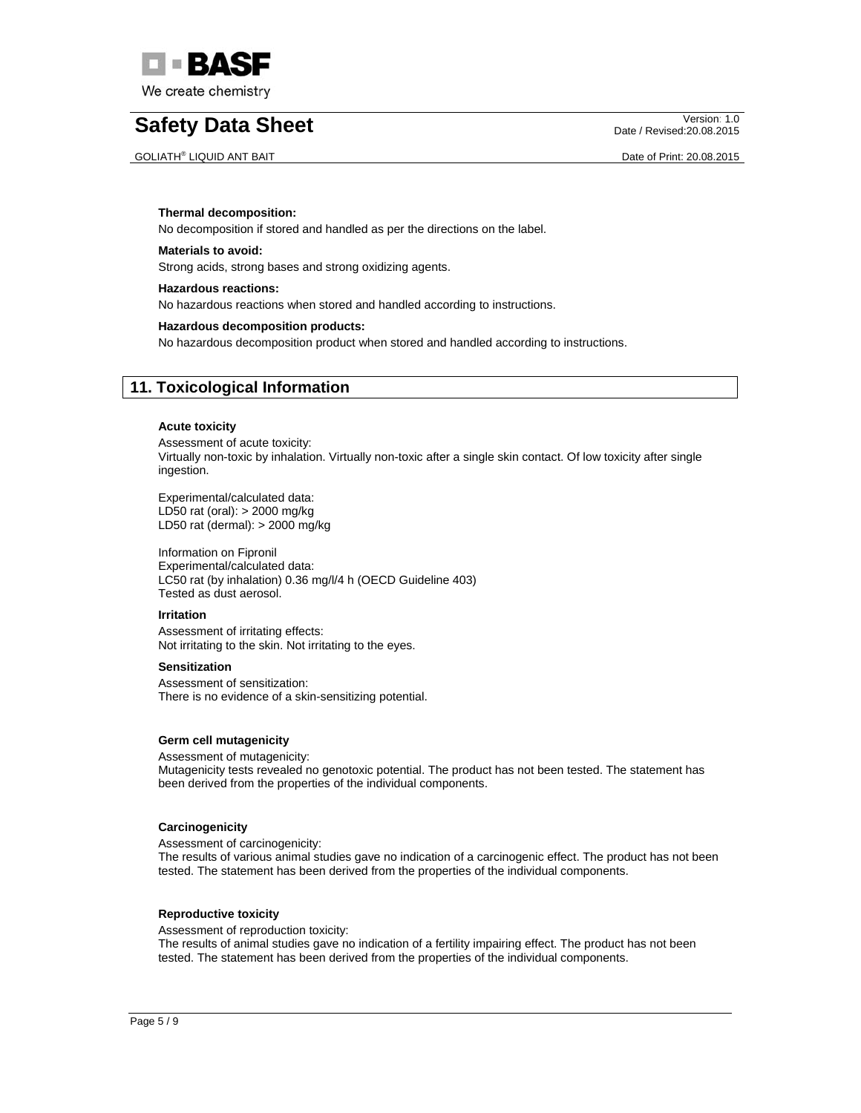

GOLIATH® LIQUID ANT BAIT **Date of Print: 20.08.2015** 

Date / Revised:20.08.2015

#### **Thermal decomposition:**

No decomposition if stored and handled as per the directions on the label.

## **Materials to avoid:**

Strong acids, strong bases and strong oxidizing agents.

#### **Hazardous reactions:**

No hazardous reactions when stored and handled according to instructions.

#### **Hazardous decomposition products:**

No hazardous decomposition product when stored and handled according to instructions.

## **11. Toxicological Information**

#### **Acute toxicity**

Assessment of acute toxicity: Virtually non-toxic by inhalation. Virtually non-toxic after a single skin contact. Of low toxicity after single ingestion.

Experimental/calculated data: LD50 rat (oral): > 2000 mg/kg LD50 rat (dermal): > 2000 mg/kg

Information on Fipronil Experimental/calculated data: LC50 rat (by inhalation) 0.36 mg/l/4 h (OECD Guideline 403) Tested as dust aerosol.

#### **Irritation**

Assessment of irritating effects: Not irritating to the skin. Not irritating to the eyes.

#### **Sensitization**

Assessment of sensitization: There is no evidence of a skin-sensitizing potential.

#### **Germ cell mutagenicity**

Assessment of mutagenicity:

Mutagenicity tests revealed no genotoxic potential. The product has not been tested. The statement has been derived from the properties of the individual components.

#### **Carcinogenicity**

Assessment of carcinogenicity:

The results of various animal studies gave no indication of a carcinogenic effect. The product has not been tested. The statement has been derived from the properties of the individual components.

#### **Reproductive toxicity**

Assessment of reproduction toxicity:

The results of animal studies gave no indication of a fertility impairing effect. The product has not been tested. The statement has been derived from the properties of the individual components.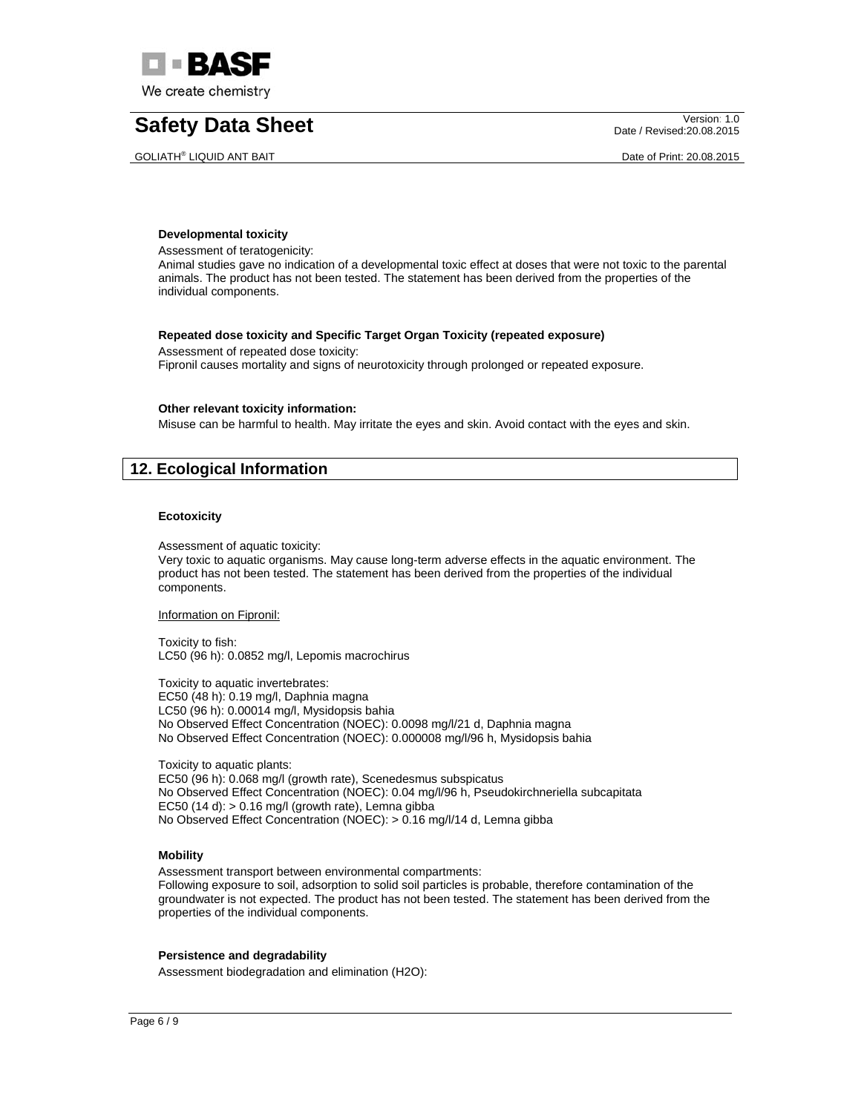

GOLIATH® LIQUID ANT BAIT DATE OF PRINT AND RESERVE AND RESERVE ASSESSED AT A DATE OF PRINT: 20.08.2015

Date / Revised:20.08.2015

#### **Developmental toxicity**

Assessment of teratogenicity:

Animal studies gave no indication of a developmental toxic effect at doses that were not toxic to the parental animals. The product has not been tested. The statement has been derived from the properties of the individual components.

#### **Repeated dose toxicity and Specific Target Organ Toxicity (repeated exposure)**

Assessment of repeated dose toxicity: Fipronil causes mortality and signs of neurotoxicity through prolonged or repeated exposure.

#### **Other relevant toxicity information:**

Misuse can be harmful to health. May irritate the eyes and skin. Avoid contact with the eyes and skin.

# **12. Ecological Information**

### **Ecotoxicity**

Assessment of aquatic toxicity:

Very toxic to aquatic organisms. May cause long-term adverse effects in the aquatic environment. The product has not been tested. The statement has been derived from the properties of the individual components.

#### Information on Fipronil:

Toxicity to fish: LC50 (96 h): 0.0852 mg/l, Lepomis macrochirus

Toxicity to aquatic invertebrates: EC50 (48 h): 0.19 mg/l, Daphnia magna LC50 (96 h): 0.00014 mg/l, Mysidopsis bahia No Observed Effect Concentration (NOEC): 0.0098 mg/l/21 d, Daphnia magna No Observed Effect Concentration (NOEC): 0.000008 mg/l/96 h, Mysidopsis bahia

Toxicity to aquatic plants: EC50 (96 h): 0.068 mg/l (growth rate), Scenedesmus subspicatus No Observed Effect Concentration (NOEC): 0.04 mg/l/96 h, Pseudokirchneriella subcapitata EC50 (14 d):  $> 0.16$  mg/l (growth rate), Lemna gibba No Observed Effect Concentration (NOEC): > 0.16 mg/l/14 d, Lemna gibba

## **Mobility**

Assessment transport between environmental compartments:

Following exposure to soil, adsorption to solid soil particles is probable, therefore contamination of the groundwater is not expected. The product has not been tested. The statement has been derived from the properties of the individual components.

#### **Persistence and degradability**

Assessment biodegradation and elimination (H2O):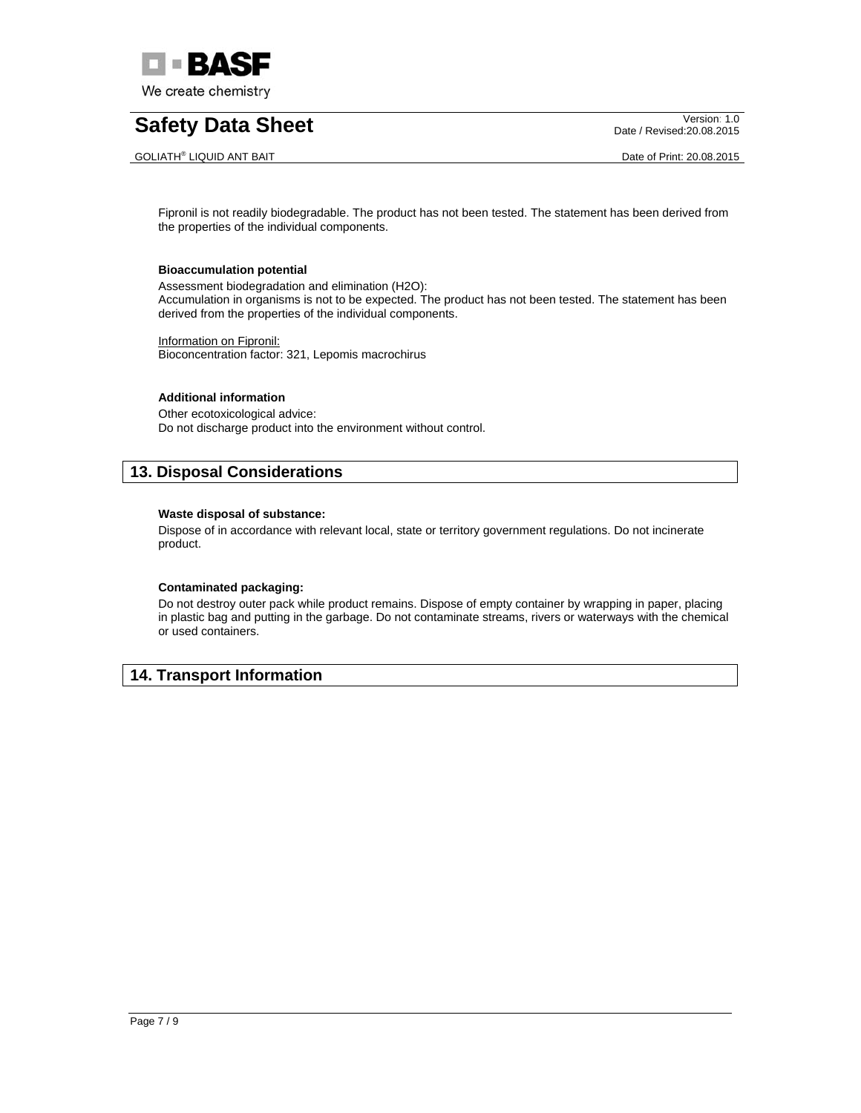

#### GOLIATH® LIQUID ANT BAIT **Date of Print: 20.08.2015**

Date / Revised:20.08.2015

Fipronil is not readily biodegradable. The product has not been tested. The statement has been derived from the properties of the individual components.

#### **Bioaccumulation potential**

Assessment biodegradation and elimination (H2O): Accumulation in organisms is not to be expected. The product has not been tested. The statement has been derived from the properties of the individual components.

Information on Fipronil: Bioconcentration factor: 321, Lepomis macrochirus

### **Additional information**

Other ecotoxicological advice: Do not discharge product into the environment without control.

## **13. Disposal Considerations**

### **Waste disposal of substance:**

Dispose of in accordance with relevant local, state or territory government regulations. Do not incinerate product.

## **Contaminated packaging:**

Do not destroy outer pack while product remains. Dispose of empty container by wrapping in paper, placing in plastic bag and putting in the garbage. Do not contaminate streams, rivers or waterways with the chemical or used containers.

# **14. Transport Information**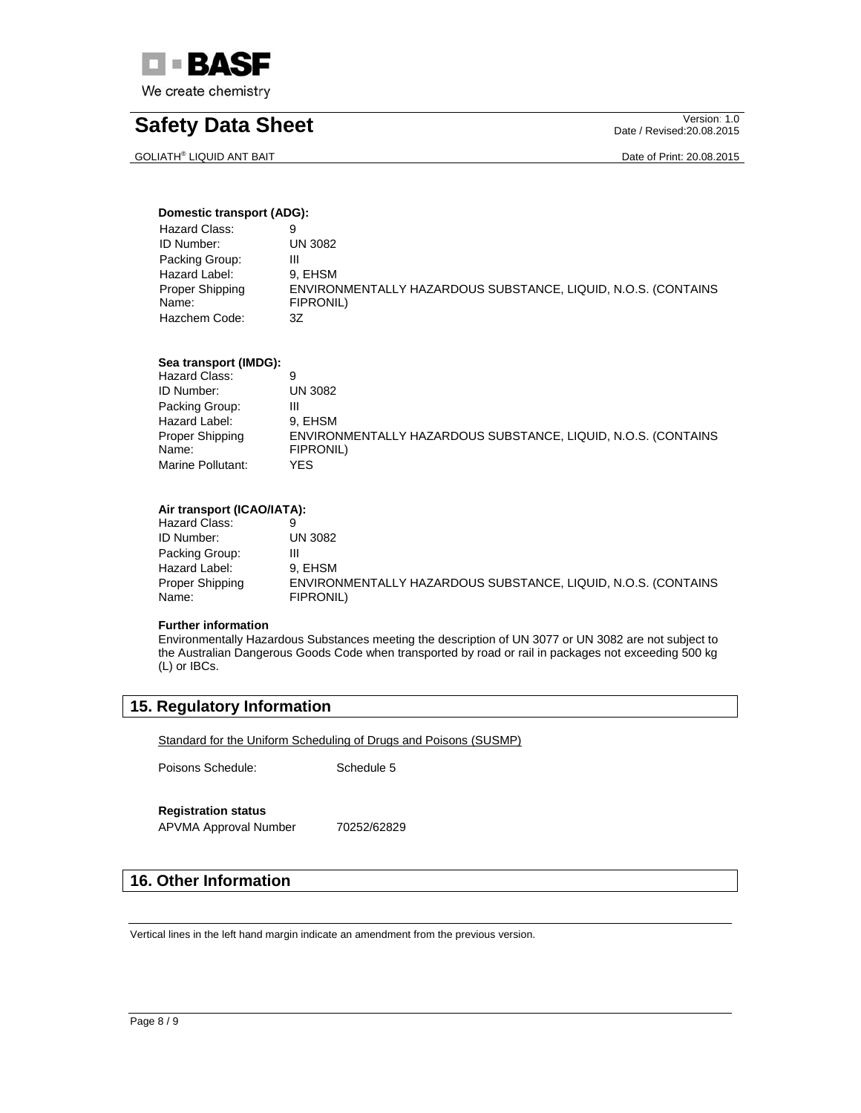

GOLIATH® LIQUID ANT BAIT **Date of Print: 20.08.2015** 

Date / Revised:20.08.2015

## **Domestic transport (ADG):**

| Hazard Class:   | 9                                                             |
|-----------------|---------------------------------------------------------------|
| ID Number:      | UN 3082                                                       |
| Packing Group:  | ш                                                             |
| Hazard Label:   | 9. EHSM                                                       |
| Proper Shipping | ENVIRONMENTALLY HAZARDOUS SUBSTANCE, LIQUID, N.O.S. (CONTAINS |
| Name:           | FIPRONIL)                                                     |
| Hazchem Code:   | 3Z                                                            |

### **Sea transport (IMDG):**

| Hazard Class:     |                                                               |
|-------------------|---------------------------------------------------------------|
| ID Number:        | UN 3082                                                       |
| Packing Group:    | Ш                                                             |
| Hazard Label:     | 9. EHSM                                                       |
| Proper Shipping   | ENVIRONMENTALLY HAZARDOUS SUBSTANCE, LIQUID, N.O.S. (CONTAINS |
| Name:             | FIPRONIL)                                                     |
| Marine Pollutant: | YES.                                                          |

## **Air transport (ICAO/IATA):**

| UN 3082                                                                    |
|----------------------------------------------------------------------------|
| Ш                                                                          |
| 9. EHSM                                                                    |
| ENVIRONMENTALLY HAZARDOUS SUBSTANCE, LIQUID, N.O.S. (CONTAINS<br>FIPRONIL) |
|                                                                            |

#### **Further information**

Environmentally Hazardous Substances meeting the description of UN 3077 or UN 3082 are not subject to the Australian Dangerous Goods Code when transported by road or rail in packages not exceeding 500 kg (L) or IBCs.

# **15. Regulatory Information**

Standard for the Uniform Scheduling of Drugs and Poisons (SUSMP)

Poisons Schedule: Schedule 5

## **Registration status**

APVMA Approval Number 70252/62829

# **16. Other Information**

Vertical lines in the left hand margin indicate an amendment from the previous version.